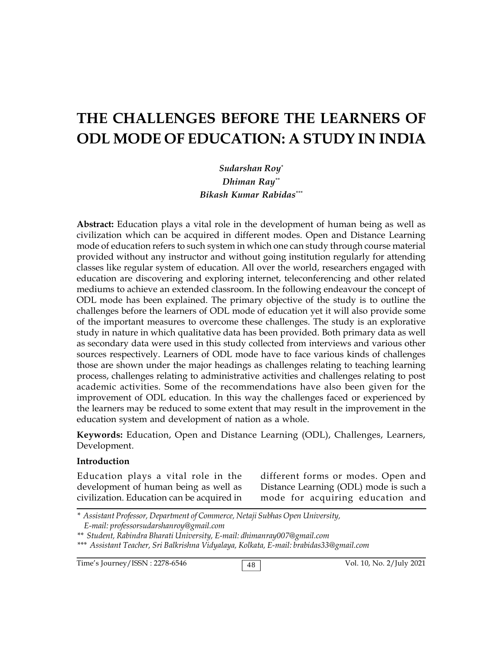# **THE CHALLENGES BEFORE THE LEARNERS OF ODL MODE OF EDUCATION: A STUDY IN INDIA**

## *Sudarshan Roy\* Dhiman Ray\*\* Bikash Kumar Rabidas\*\*\**

**Abstract:** Education plays a vital role in the development of human being as well as civilization which can be acquired in different modes. Open and Distance Learning mode of education refers to such system in which one can study through course material provided without any instructor and without going institution regularly for attending classes like regular system of education. All over the world, researchers engaged with education are discovering and exploring internet, teleconferencing and other related mediums to achieve an extended classroom. In the following endeavour the concept of ODL mode has been explained. The primary objective of the study is to outline the challenges before the learners of ODL mode of education yet it will also provide some of the important measures to overcome these challenges. The study is an explorative study in nature in which qualitative data has been provided. Both primary data as well as secondary data were used in this study collected from interviews and various other sources respectively. Learners of ODL mode have to face various kinds of challenges those are shown under the major headings as challenges relating to teaching learning process, challenges relating to administrative activities and challenges relating to post academic activities. Some of the recommendations have also been given for the improvement of ODL education. In this way the challenges faced or experienced by the learners may be reduced to some extent that may result in the improvement in the education system and development of nation as a whole.

**Keywords:** Education, Open and Distance Learning (ODL), Challenges, Learners, Development.

#### **Introduction**

Education plays a vital role in the development of human being as well as civilization. Education can be acquired in

different forms or modes. Open and Distance Learning (ODL) mode is such a mode for acquiring education and

Time's Journey/ISSN : 2278-6546 <br>
48 Vol. 10, No. 2/July 2021

*<sup>\*</sup> Assistant Professor, Department of Commerce, Netaji Subhas Open University, E-mail: professorsudarshanroy@gmail.com*

*<sup>\*\*</sup> Student, Rabindra Bharati University, E-mail: dhimanray007@gmail.com*

*<sup>\*\*\*</sup> Assistant Teacher, Sri Balkrishna Vidyalaya, Kolkata, E-mail: brabidas33@gmail.com*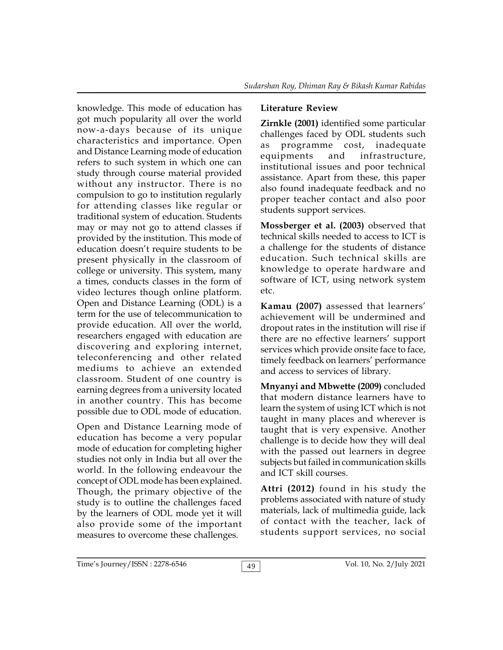knowledge. This mode of education has got much popularity all over the world now-a-days because of its unique characteristics and importance. Open and Distance Learning mode of education equipments refers to such system in which one can study through course material provided without any instructor. There is no compulsion to go to institution regularly for attending classes like regular or traditional system of education. Students may or may not go to attend classes if provided by the institution. This mode of education doesn't require students to be present physically in the classroom of college or university. This system, many a times, conducts classes in the form of video lectures though online platform. Open and Distance Learning (ODL) is a term for the use of telecommunication to provide education. All over the world, researchers engaged with education are discovering and exploring internet, teleconferencing and other related mediums to achieve an extended classroom. Student of one country is earning degrees from a university located in another country. This has become possible due to ODL mode of education.

Open and Distance Learning mode of education has become a very popular mode of education for completing higher studies not only in India but all over the world. In the following endeavour the concept of ODL mode has been explained. Though, the primary objective of the study is to outline the challenges faced by the learners of ODL mode yet it will also provide some of the important measures to overcome these challenges.

#### **Literature Review**

**Zirnkle (2001)** identified some particular challenges faced by ODL students such programme cost, inadequate and infrastructure, institutional issues and poor technical assistance. Apart from these, this paper also found inadequate feedback and no proper teacher contact and also poor students support services.

**Mossberger et al. (2003)** observed that technical skills needed to access to ICT is a challenge for the students of distance education. Such technical skills are knowledge to operate hardware and software of ICT, using network system etc.

**Kamau (2007)** assessed that learners' achievement will be undermined and dropout rates in the institution will rise if there are no effective learners' support services which provide onsite face to face, timely feedback on learners' performance and access to services of library.

**Mnyanyi and Mbwette (2009)** concluded that modern distance learners have to learn the system of using ICT which is not taught in many places and wherever is taught that is very expensive. Another challenge is to decide how they will deal with the passed out learners in degree subjects but failed in communication skills and ICT skill courses.

**Attri (2012)** found in his study the problems associated with nature of study materials, lack of multimedia guide, lack of contact with the teacher, lack of students support services, no social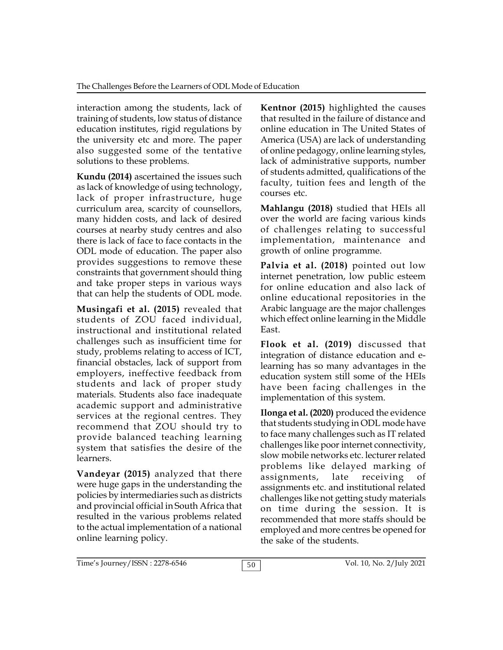interaction among the students, lack of training of students, low status of distance education institutes, rigid regulations by the university etc and more. The paper also suggested some of the tentative solutions to these problems.

**Kundu (2014)** ascertained the issues such as lack of knowledge of using technology, lack of proper infrastructure, huge curriculum area, scarcity of counsellors, many hidden costs, and lack of desired courses at nearby study centres and also there is lack of face to face contacts in the ODL mode of education. The paper also provides suggestions to remove these constraints that government should thing and take proper steps in various ways that can help the students of ODL mode.

**Musingafi et al. (2015)** revealed that students of ZOU faced individual, instructional and institutional related challenges such as insufficient time for study, problems relating to access of ICT, financial obstacles, lack of support from employers, ineffective feedback from students and lack of proper study materials. Students also face inadequate academic support and administrative services at the regional centres. They recommend that ZOU should try to provide balanced teaching learning system that satisfies the desire of the learners.

**Vandeyar (2015)** analyzed that there were huge gaps in the understanding the policies by intermediaries such as districts and provincial official in South Africa that resulted in the various problems related to the actual implementation of a national online learning policy.

**Kentnor (2015)** highlighted the causes that resulted in the failure of distance and online education in The United States of America (USA) are lack of understanding of online pedagogy, online learning styles, lack of administrative supports, number of students admitted, qualifications of the faculty, tuition fees and length of the courses etc.

**Mahlangu (2018)** studied that HEIs all over the world are facing various kinds of challenges relating to successful implementation, maintenance and growth of online programme.

**Palvia et al. (2018)** pointed out low internet penetration, low public esteem for online education and also lack of online educational repositories in the Arabic language are the major challenges which effect online learning in the Middle East.

**Flook et al. (2019)** discussed that integration of distance education and elearning has so many advantages in the education system still some of the HEIs have been facing challenges in the implementation of this system.

**Ilonga et al. (2020)** produced the evidence that students studying in ODL mode have to face many challenges such as IT related challenges like poor internet connectivity, slow mobile networks etc. lecturer related problems like delayed marking of assignments, late receiving of assignments etc. and institutional related challenges like not getting study materials on time during the session. It is recommended that more staffs should be employed and more centres be opened for the sake of the students.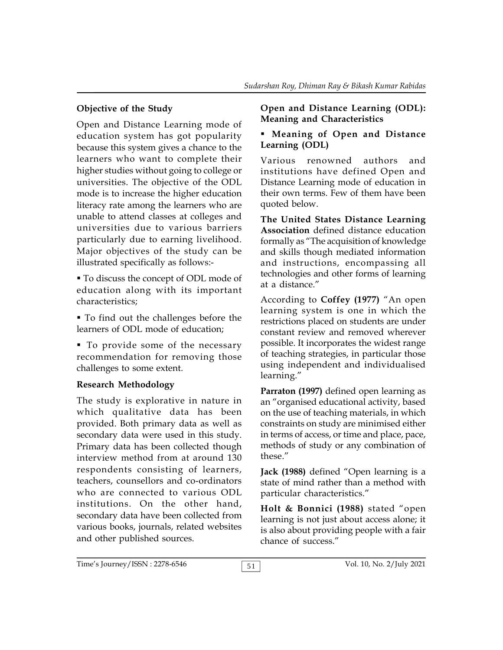# **Objective of the Study**

Open and Distance Learning mode of education system has got popularity because this system gives a chance to the learners who want to complete their higher studies without going to college or universities. The objective of the ODL mode is to increase the higher education literacy rate among the learners who are unable to attend classes at colleges and universities due to various barriers particularly due to earning livelihood. Major objectives of the study can be illustrated specifically as follows:-

 To discuss the concept of ODL mode of education along with its important characteristics;

 To find out the challenges before the learners of ODL mode of education;

 To provide some of the necessary recommendation for removing those challenges to some extent.

#### **Research Methodology**

The study is explorative in nature in which qualitative data has been provided. Both primary data as well as secondary data were used in this study. Primary data has been collected though interview method from at around 130 respondents consisting of learners, teachers, counsellors and co-ordinators who are connected to various ODL institutions. On the other hand, secondary data have been collected from various books, journals, related websites and other published sources.

#### **Open and Distance Learning (ODL): Meaning and Characteristics**

#### **Meaning of Open and Distance Learning (ODL)**

Various renowned authors and institutions have defined Open and Distance Learning mode of education in their own terms. Few of them have been quoted below.

**The United States Distance Learning Association** defined distance education formally as "The acquisition of knowledge and skills though mediated information and instructions, encompassing all technologies and other forms of learning at a distance."

According to **Coffey (1977)** "An open learning system is one in which the restrictions placed on students are under constant review and removed wherever possible. It incorporates the widest range of teaching strategies, in particular those using independent and individualised learning."

**Parraton (1997)** defined open learning as an "organised educational activity, based on the use of teaching materials, in which constraints on study are minimised either in terms of access, or time and place, pace, methods of study or any combination of these."

**Jack (1988)** defined "Open learning is a state of mind rather than a method with particular characteristics."

**Holt & Bonnici (1988)** stated "open learning is not just about access alone; it is also about providing people with a fair chance of success."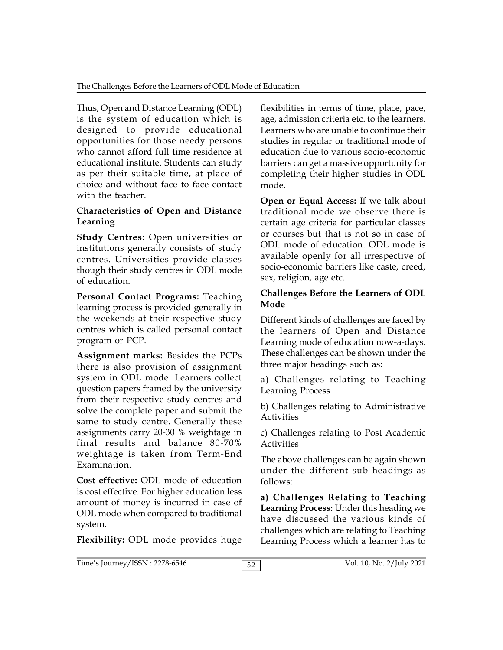Thus, Open and Distance Learning (ODL) is the system of education which is designed to provide educational opportunities for those needy persons who cannot afford full time residence at educational institute. Students can study as per their suitable time, at place of choice and without face to face contact with the teacher.

### **Characteristics of Open and Distance Learning**

**Study Centres:** Open universities or institutions generally consists of study centres. Universities provide classes though their study centres in ODL mode of education.

**Personal Contact Programs:** Teaching learning process is provided generally in the weekends at their respective study centres which is called personal contact program or PCP.

**Assignment marks:** Besides the PCPs there is also provision of assignment system in ODL mode. Learners collect question papers framed by the university from their respective study centres and solve the complete paper and submit the same to study centre. Generally these assignments carry 20-30 % weightage in final results and balance 80-70% weightage is taken from Term-End Examination.

**Cost effective:** ODL mode of education is cost effective. For higher education less amount of money is incurred in case of ODL mode when compared to traditional system.

**Flexibility:** ODL mode provides huge

flexibilities in terms of time, place, pace, age, admission criteria etc. to the learners. Learners who are unable to continue their studies in regular or traditional mode of education due to various socio-economic barriers can get a massive opportunity for completing their higher studies in ODL mode.

**Open or Equal Access:** If we talk about traditional mode we observe there is certain age criteria for particular classes or courses but that is not so in case of ODL mode of education. ODL mode is available openly for all irrespective of socio-economic barriers like caste, creed, sex, religion, age etc.

#### **Challenges Before the Learners of ODL Mode**

Different kinds of challenges are faced by the learners of Open and Distance Learning mode of education now-a-days. These challenges can be shown under the three major headings such as:

a) Challenges relating to Teaching Learning Process

b) Challenges relating to Administrative Activities

c) Challenges relating to Post Academic Activities

The above challenges can be again shown under the different sub headings as follows:

**a) Challenges Relating to Teaching Learning Process:** Under this heading we have discussed the various kinds of challenges which are relating to Teaching Learning Process which a learner has to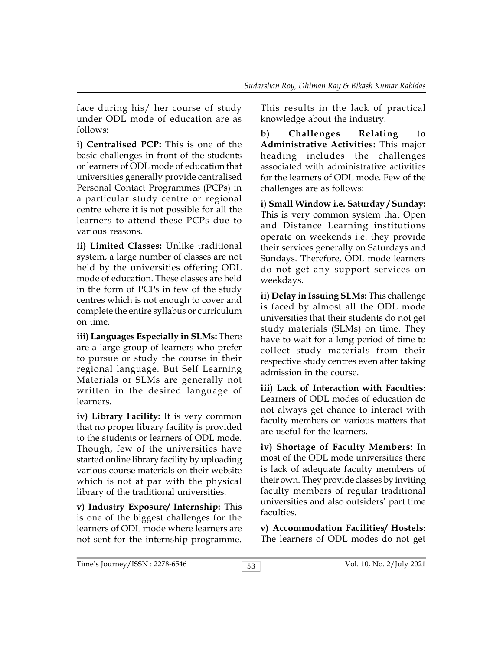face during his/ her course of study under ODL mode of education are as follows:

**i) Centralised PCP:** This is one of the basic challenges in front of the students or learners of ODL mode of education that universities generally provide centralised Personal Contact Programmes (PCPs) in a particular study centre or regional centre where it is not possible for all the learners to attend these PCPs due to various reasons.

**ii) Limited Classes:** Unlike traditional system, a large number of classes are not held by the universities offering ODL mode of education. These classes are held in the form of PCPs in few of the study centres which is not enough to cover and complete the entire syllabus or curriculum on time.

**iii) Languages Especially in SLMs:** There are a large group of learners who prefer to pursue or study the course in their regional language. But Self Learning Materials or SLMs are generally not written in the desired language of learners.

**iv) Library Facility:** It is very common that no proper library facility is provided to the students or learners of ODL mode. Though, few of the universities have started online library facility by uploading various course materials on their website which is not at par with the physical library of the traditional universities.

**v) Industry Exposure/ Internship:** This is one of the biggest challenges for the learners of ODL mode where learners are not sent for the internship programme. This results in the lack of practical knowledge about the industry.

**b) Challenges Relating to Administrative Activities:** This major heading includes the challenges associated with administrative activities for the learners of ODL mode. Few of the challenges are as follows:

**i) Small Window i.e. Saturday / Sunday:** This is very common system that Open and Distance Learning institutions operate on weekends i.e. they provide their services generally on Saturdays and Sundays. Therefore, ODL mode learners do not get any support services on weekdays.

**ii) Delay in Issuing SLMs:** This challenge is faced by almost all the ODL mode universities that their students do not get study materials (SLMs) on time. They have to wait for a long period of time to collect study materials from their respective study centres even after taking admission in the course.

**iii) Lack of Interaction with Faculties:** Learners of ODL modes of education do not always get chance to interact with faculty members on various matters that are useful for the learners.

**iv) Shortage of Faculty Members:** In most of the ODL mode universities there is lack of adequate faculty members of their own. They provide classes by inviting faculty members of regular traditional universities and also outsiders' part time faculties.

**v) Accommodation Facilities/ Hostels:** The learners of ODL modes do not get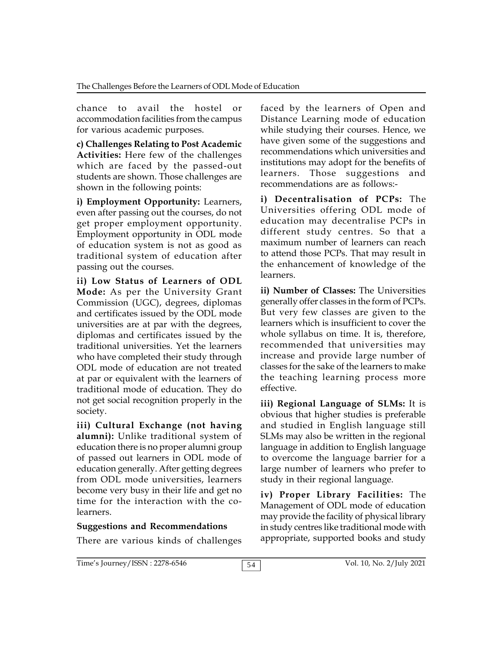chance to avail the hostel or accommodation facilities from the campus for various academic purposes.

**c) Challenges Relating to Post Academic Activities:** Here few of the challenges which are faced by the passed-out students are shown. Those challenges are shown in the following points:

**i) Employment Opportunity:** Learners, even after passing out the courses, do not get proper employment opportunity. Employment opportunity in ODL mode of education system is not as good as traditional system of education after passing out the courses.

**ii) Low Status of Learners of ODL Mode:** As per the University Grant Commission (UGC), degrees, diplomas and certificates issued by the ODL mode universities are at par with the degrees, diplomas and certificates issued by the traditional universities. Yet the learners who have completed their study through ODL mode of education are not treated at par or equivalent with the learners of traditional mode of education. They do not get social recognition properly in the society.

**iii) Cultural Exchange (not having alumni):** Unlike traditional system of education there is no proper alumni group of passed out learners in ODL mode of education generally. After getting degrees from ODL mode universities, learners become very busy in their life and get no time for the interaction with the colearners.

#### **Suggestions and Recommendations**

There are various kinds of challenges

faced by the learners of Open and Distance Learning mode of education while studying their courses. Hence, we have given some of the suggestions and recommendations which universities and institutions may adopt for the benefits of learners. Those suggestions and recommendations are as follows:-

**i) Decentralisation of PCPs:** The Universities offering ODL mode of education may decentralise PCPs in different study centres. So that a maximum number of learners can reach to attend those PCPs. That may result in the enhancement of knowledge of the learners.

**ii) Number of Classes:** The Universities generally offer classes in the form of PCPs. But very few classes are given to the learners which is insufficient to cover the whole syllabus on time. It is, therefore, recommended that universities may increase and provide large number of classes for the sake of the learners to make the teaching learning process more effective.

**iii) Regional Language of SLMs:** It is obvious that higher studies is preferable and studied in English language still SLMs may also be written in the regional language in addition to English language to overcome the language barrier for a large number of learners who prefer to study in their regional language.

**iv) Proper Library Facilities:** The Management of ODL mode of education may provide the facility of physical library in study centres like traditional mode with appropriate, supported books and study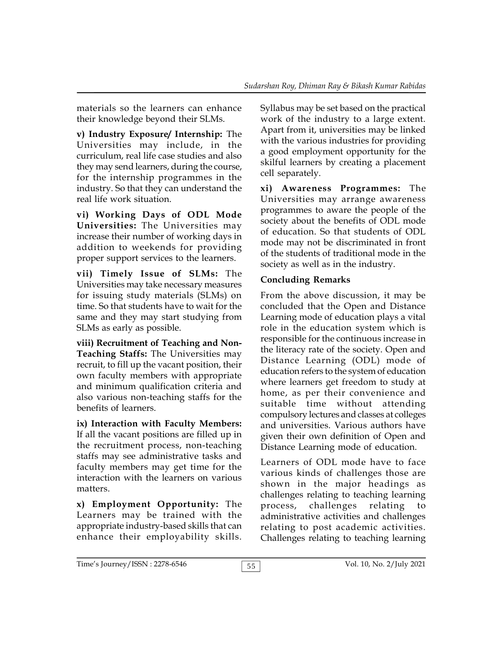materials so the learners can enhance their knowledge beyond their SLMs.

**v) Industry Exposure/ Internship:** The Universities may include, in the curriculum, real life case studies and also they may send learners, during the course, for the internship programmes in the industry. So that they can understand the real life work situation.

**vi) Working Days of ODL Mode Universities:** The Universities may increase their number of working days in addition to weekends for providing proper support services to the learners.

**vii) Timely Issue of SLMs:** The Universities may take necessary measures for issuing study materials (SLMs) on time. So that students have to wait for the same and they may start studying from SLMs as early as possible.

**viii) Recruitment of Teaching and Non-Teaching Staffs:** The Universities may recruit, to fill up the vacant position, their own faculty members with appropriate and minimum qualification criteria and also various non-teaching staffs for the benefits of learners.

**ix) Interaction with Faculty Members:** If all the vacant positions are filled up in the recruitment process, non-teaching staffs may see administrative tasks and faculty members may get time for the interaction with the learners on various matters.

**x) Employment Opportunity:** The Learners may be trained with the appropriate industry-based skills that can enhance their employability skills.

Syllabus may be set based on the practical work of the industry to a large extent. Apart from it, universities may be linked with the various industries for providing a good employment opportunity for the skilful learners by creating a placement cell separately.

**xi) Awareness Programmes:** The Universities may arrange awareness programmes to aware the people of the society about the benefits of ODL mode of education. So that students of ODL mode may not be discriminated in front of the students of traditional mode in the society as well as in the industry.

# **Concluding Remarks**

From the above discussion, it may be concluded that the Open and Distance Learning mode of education plays a vital role in the education system which is responsible for the continuous increase in the literacy rate of the society. Open and Distance Learning (ODL) mode of education refers to the system of education where learners get freedom to study at home, as per their convenience and suitable time without attending compulsory lectures and classes at colleges and universities. Various authors have given their own definition of Open and Distance Learning mode of education.

Learners of ODL mode have to face various kinds of challenges those are shown in the major headings as challenges relating to teaching learning challenges relating administrative activities and challenges relating to post academic activities. Challenges relating to teaching learning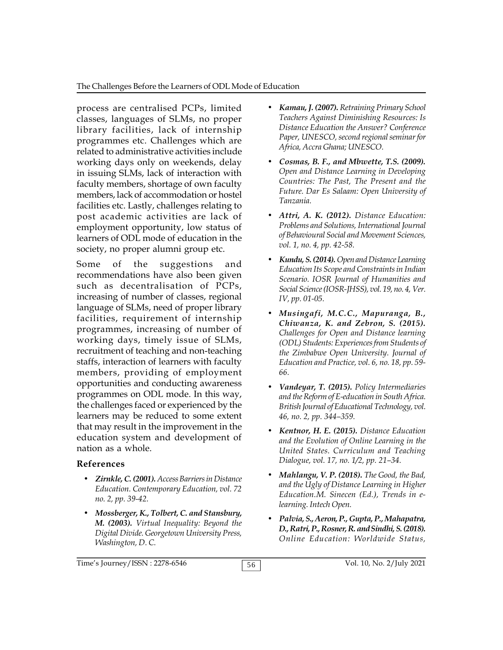process are centralised PCPs, limited classes, languages of SLMs, no proper library facilities, lack of internship programmes etc. Challenges which are related to administrative activities include working days only on weekends, delay in issuing SLMs, lack of interaction with faculty members, shortage of own faculty members, lack of accommodation or hostel facilities etc. Lastly, challenges relating to post academic activities are lack of employment opportunity, low status of learners of ODL mode of education in the society, no proper alumni group etc.

Some of the suggestions and recommendations have also been given such as decentralisation of PCPs, increasing of number of classes, regional language of SLMs, need of proper library facilities, requirement of internship programmes, increasing of number of working days, timely issue of SLMs, recruitment of teaching and non-teaching staffs, interaction of learners with faculty members, providing of employment opportunities and conducting awareness programmes on ODL mode. In this way, the challenges faced or experienced by the learners may be reduced to some extent that may result in the improvement in the education system and development of nation as a whole.

#### **References**

- *Zirnkle, C. (2001). Access Barriers in Distance Education. Contemporary Education, vol. 72 no. 2, pp. 39-42.*
- *Mossberger, K., Tolbert, C. and Stansbury, M. (2003). Virtual Inequality: Beyond the Digital Divide. Georgetown University Press, Washington, D. C.*
- *Kamau, J. (2007). Retraining Primary School Teachers Against Diminishing Resources: Is Distance Education the Answer? Conference Paper, UNESCO, second regional seminar for Africa, Accra Ghana; UNESCO.*
- *Cosmas, B. F., and Mbwette, T.S. (2009). Open and Distance Learning in Developing Countries: The Past, The Present and the Future. Dar Es Salaam: Open University of Tanzania.*
- *Attri, A. K. (2012). Distance Education: Problems and Solutions, International Journal of Behavioural Social and Movement Sciences, vol. 1, no. 4, pp. 42-58.*
- *Kundu, S. (2014). Open and Distance Learning Education Its Scope and Constraints in Indian Scenario. IOSR Journal of Humanities and Social Science (IOSR-JHSS), vol. 19, no. 4, Ver. IV, pp. 01-05.*
- *Musingafi, M.C.C., Mapuranga, B., Chiwanza, K. and Zebron, S. (2015). Challenges for Open and Distance learning (ODL) Students: Experiences from Students of the Zimbabwe Open University. Journal of Education and Practice, vol. 6, no. 18, pp. 59- 66.*
- *Vandeyar, T. (2015). Policy Intermediaries and the Reform of E-education in South Africa. British Journal of Educational Technology, vol. 46, no. 2, pp. 344–359.*
- *Kentnor, H. E. (2015). Distance Education and the Evolution of Online Learning in the United States. Curriculum and Teaching Dialogue, vol. 17, no. 1/2, pp. 21–34.*
- *Mahlangu, V. P. (2018). The Good, the Bad, and the Ugly of Distance Learning in Higher Education.M. Sinecen (Ed.), Trends in elearning. Intech Open.*
- *Palvia, S., Aeron, P., Gupta, P., Mahapatra, D., Ratri, P., Rosner, R. and Sindhi, S. (2018). Online Education: Worldwide Status,*